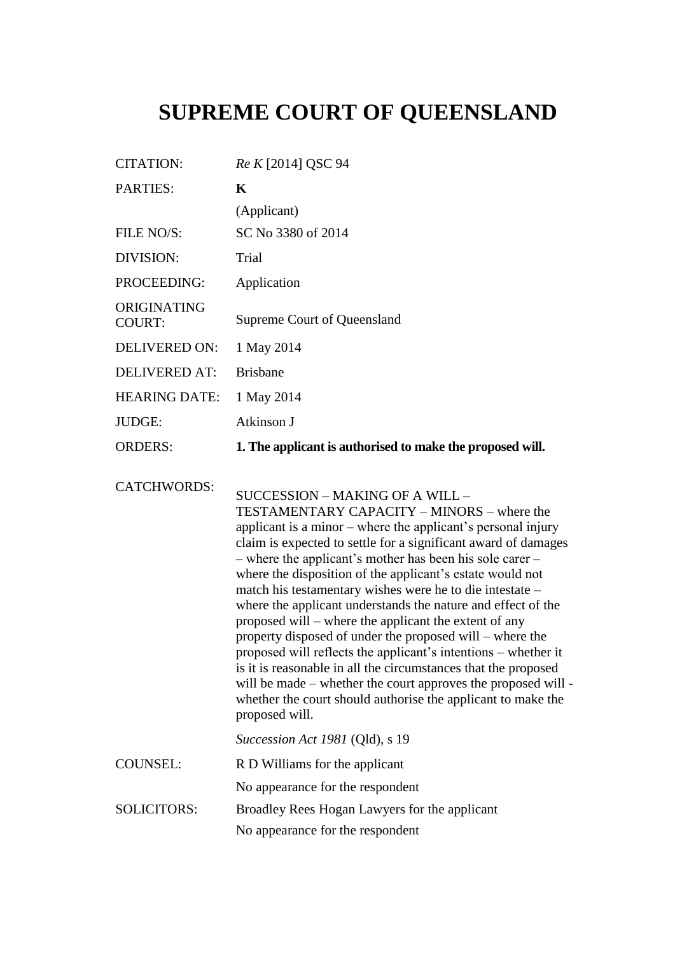## **SUPREME COURT OF QUEENSLAND**

| <b>CITATION:</b>             | Re K [2014] QSC 94                                                                                                                                                                                                                                                                                                                                                                                                                                                                                                                                                                                                                                                                                                                                                                                                                                                               |
|------------------------------|----------------------------------------------------------------------------------------------------------------------------------------------------------------------------------------------------------------------------------------------------------------------------------------------------------------------------------------------------------------------------------------------------------------------------------------------------------------------------------------------------------------------------------------------------------------------------------------------------------------------------------------------------------------------------------------------------------------------------------------------------------------------------------------------------------------------------------------------------------------------------------|
| PARTIES:                     | K                                                                                                                                                                                                                                                                                                                                                                                                                                                                                                                                                                                                                                                                                                                                                                                                                                                                                |
|                              | (Applicant)                                                                                                                                                                                                                                                                                                                                                                                                                                                                                                                                                                                                                                                                                                                                                                                                                                                                      |
| FILE NO/S:                   | SC No 3380 of 2014                                                                                                                                                                                                                                                                                                                                                                                                                                                                                                                                                                                                                                                                                                                                                                                                                                                               |
| DIVISION:                    | Trial                                                                                                                                                                                                                                                                                                                                                                                                                                                                                                                                                                                                                                                                                                                                                                                                                                                                            |
| PROCEEDING:                  | Application                                                                                                                                                                                                                                                                                                                                                                                                                                                                                                                                                                                                                                                                                                                                                                                                                                                                      |
| ORIGINATING<br><b>COURT:</b> | Supreme Court of Queensland                                                                                                                                                                                                                                                                                                                                                                                                                                                                                                                                                                                                                                                                                                                                                                                                                                                      |
| DELIVERED ON:                | 1 May 2014                                                                                                                                                                                                                                                                                                                                                                                                                                                                                                                                                                                                                                                                                                                                                                                                                                                                       |
| <b>DELIVERED AT:</b>         | <b>Brisbane</b>                                                                                                                                                                                                                                                                                                                                                                                                                                                                                                                                                                                                                                                                                                                                                                                                                                                                  |
| <b>HEARING DATE:</b>         | 1 May 2014                                                                                                                                                                                                                                                                                                                                                                                                                                                                                                                                                                                                                                                                                                                                                                                                                                                                       |
| JUDGE:                       | Atkinson J                                                                                                                                                                                                                                                                                                                                                                                                                                                                                                                                                                                                                                                                                                                                                                                                                                                                       |
| <b>ORDERS:</b>               | 1. The applicant is authorised to make the proposed will.                                                                                                                                                                                                                                                                                                                                                                                                                                                                                                                                                                                                                                                                                                                                                                                                                        |
| <b>CATCHWORDS:</b>           | SUCCESSION – MAKING OF A WILL –<br>TESTAMENTARY CAPACITY – MINORS – where the<br>applicant is a minor – where the applicant's personal injury<br>claim is expected to settle for a significant award of damages<br>- where the applicant's mother has been his sole carer -<br>where the disposition of the applicant's estate would not<br>match his testamentary wishes were he to die intestate -<br>where the applicant understands the nature and effect of the<br>proposed will – where the applicant the extent of any<br>property disposed of under the proposed will – where the<br>proposed will reflects the applicant's intentions - whether it<br>is it is reasonable in all the circumstances that the proposed<br>will be made – whether the court approves the proposed will -<br>whether the court should authorise the applicant to make the<br>proposed will. |
|                              | Succession Act 1981 (Qld), s 19                                                                                                                                                                                                                                                                                                                                                                                                                                                                                                                                                                                                                                                                                                                                                                                                                                                  |
| <b>COUNSEL:</b>              | R D Williams for the applicant                                                                                                                                                                                                                                                                                                                                                                                                                                                                                                                                                                                                                                                                                                                                                                                                                                                   |
|                              | No appearance for the respondent                                                                                                                                                                                                                                                                                                                                                                                                                                                                                                                                                                                                                                                                                                                                                                                                                                                 |
| <b>SOLICITORS:</b>           | Broadley Rees Hogan Lawyers for the applicant                                                                                                                                                                                                                                                                                                                                                                                                                                                                                                                                                                                                                                                                                                                                                                                                                                    |
|                              | No appearance for the respondent                                                                                                                                                                                                                                                                                                                                                                                                                                                                                                                                                                                                                                                                                                                                                                                                                                                 |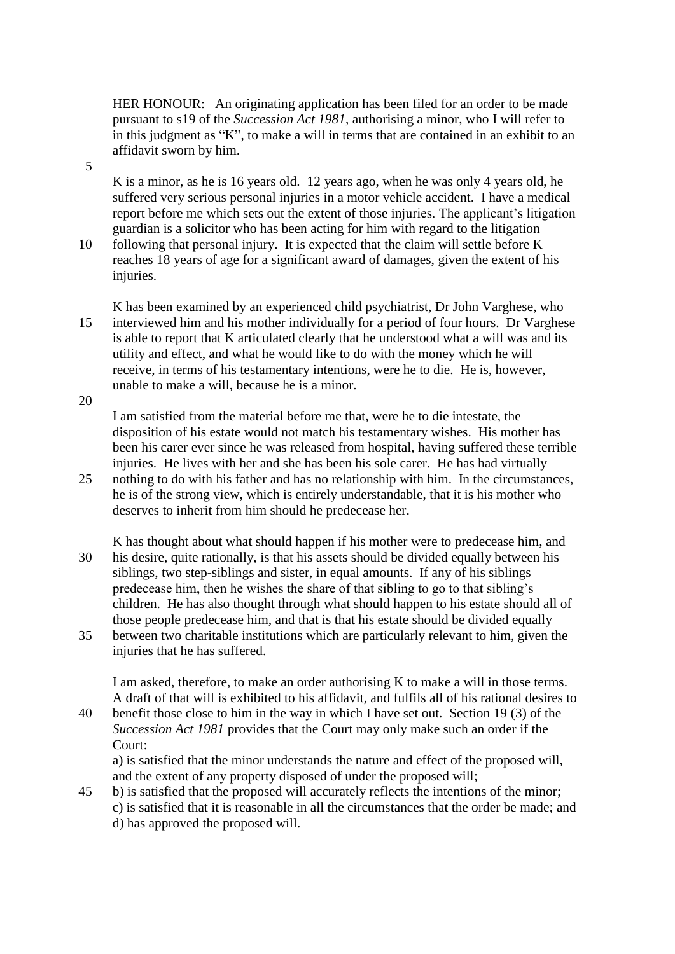HER HONOUR: An originating application has been filed for an order to be made pursuant to s19 of the *Succession Act 1981*, authorising a minor, who I will refer to in this judgment as "K", to make a will in terms that are contained in an exhibit to an affidavit sworn by him.

K is a minor, as he is 16 years old. 12 years ago, when he was only 4 years old, he suffered very serious personal injuries in a motor vehicle accident. I have a medical report before me which sets out the extent of those injuries. The applicant's litigation guardian is a solicitor who has been acting for him with regard to the litigation

10 following that personal injury. It is expected that the claim will settle before K reaches 18 years of age for a significant award of damages, given the extent of his injuries.

K has been examined by an experienced child psychiatrist, Dr John Varghese, who 15 interviewed him and his mother individually for a period of four hours. Dr Varghese is able to report that K articulated clearly that he understood what a will was and its utility and effect, and what he would like to do with the money which he will receive, in terms of his testamentary intentions, were he to die. He is, however, unable to make a will, because he is a minor.

20

I am satisfied from the material before me that, were he to die intestate, the disposition of his estate would not match his testamentary wishes. His mother has been his carer ever since he was released from hospital, having suffered these terrible injuries. He lives with her and she has been his sole carer. He has had virtually

- 25 nothing to do with his father and has no relationship with him. In the circumstances, he is of the strong view, which is entirely understandable, that it is his mother who deserves to inherit from him should he predecease her.
- K has thought about what should happen if his mother were to predecease him, and 30 his desire, quite rationally, is that his assets should be divided equally between his siblings, two step-siblings and sister, in equal amounts. If any of his siblings predecease him, then he wishes the share of that sibling to go to that sibling's children. He has also thought through what should happen to his estate should all of those people predecease him, and that is that his estate should be divided equally
- 35 between two charitable institutions which are particularly relevant to him, given the injuries that he has suffered.

I am asked, therefore, to make an order authorising K to make a will in those terms. A draft of that will is exhibited to his affidavit, and fulfils all of his rational desires to

40 benefit those close to him in the way in which I have set out. Section 19 (3) of the *Succession Act 1981* provides that the Court may only make such an order if the Court:

a) is satisfied that the minor understands the nature and effect of the proposed will, and the extent of any property disposed of under the proposed will;

45 b) is satisfied that the proposed will accurately reflects the intentions of the minor; c) is satisfied that it is reasonable in all the circumstances that the order be made; and d) has approved the proposed will.

5